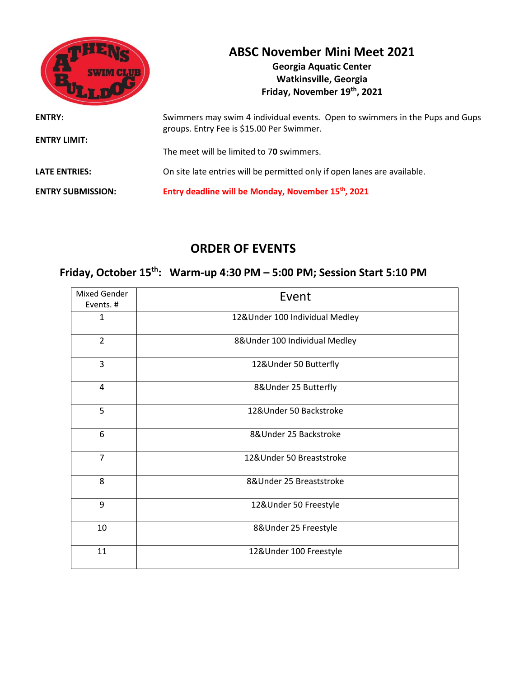|                                      | <b>ABSC November Mini Meet 2021</b><br><b>Georgia Aquatic Center</b><br><b>Watkinsville, Georgia</b><br>Friday, November 19th, 2021 |
|--------------------------------------|-------------------------------------------------------------------------------------------------------------------------------------|
| <b>ENTRY:</b><br><b>ENTRY LIMIT:</b> | Swimmers may swim 4 individual events. Open to swimmers in the Pups and Gups<br>groups. Entry Fee is \$15.00 Per Swimmer.           |
|                                      | The meet will be limited to 70 swimmers.                                                                                            |
| <b>LATE ENTRIES:</b>                 | On site late entries will be permitted only if open lanes are available.                                                            |
| <b>ENTRY SUBMISSION:</b>             | Entry deadline will be Monday, November 15th, 2021                                                                                  |

## **ORDER OF EVENTS**

## **Friday, October 15th: Warm-up 4:30 PM – 5:00 PM; Session Start 5:10 PM**

| Mixed Gender<br>Events. # | Event                          |
|---------------------------|--------------------------------|
| $\mathbf{1}$              | 12&Under 100 Individual Medley |
| $\overline{2}$            | 8&Under 100 Individual Medley  |
| 3                         | 12&Under 50 Butterfly          |
| $\overline{4}$            | 8&Under 25 Butterfly           |
| 5                         | 12&Under 50 Backstroke         |
| 6                         | 8&Under 25 Backstroke          |
| $\overline{7}$            | 12&Under 50 Breaststroke       |
| 8                         | 8& Under 25 Breaststroke       |
| 9                         | 12&Under 50 Freestyle          |
| 10                        | 8& Under 25 Freestyle          |
| 11                        | 12&Under 100 Freestyle         |